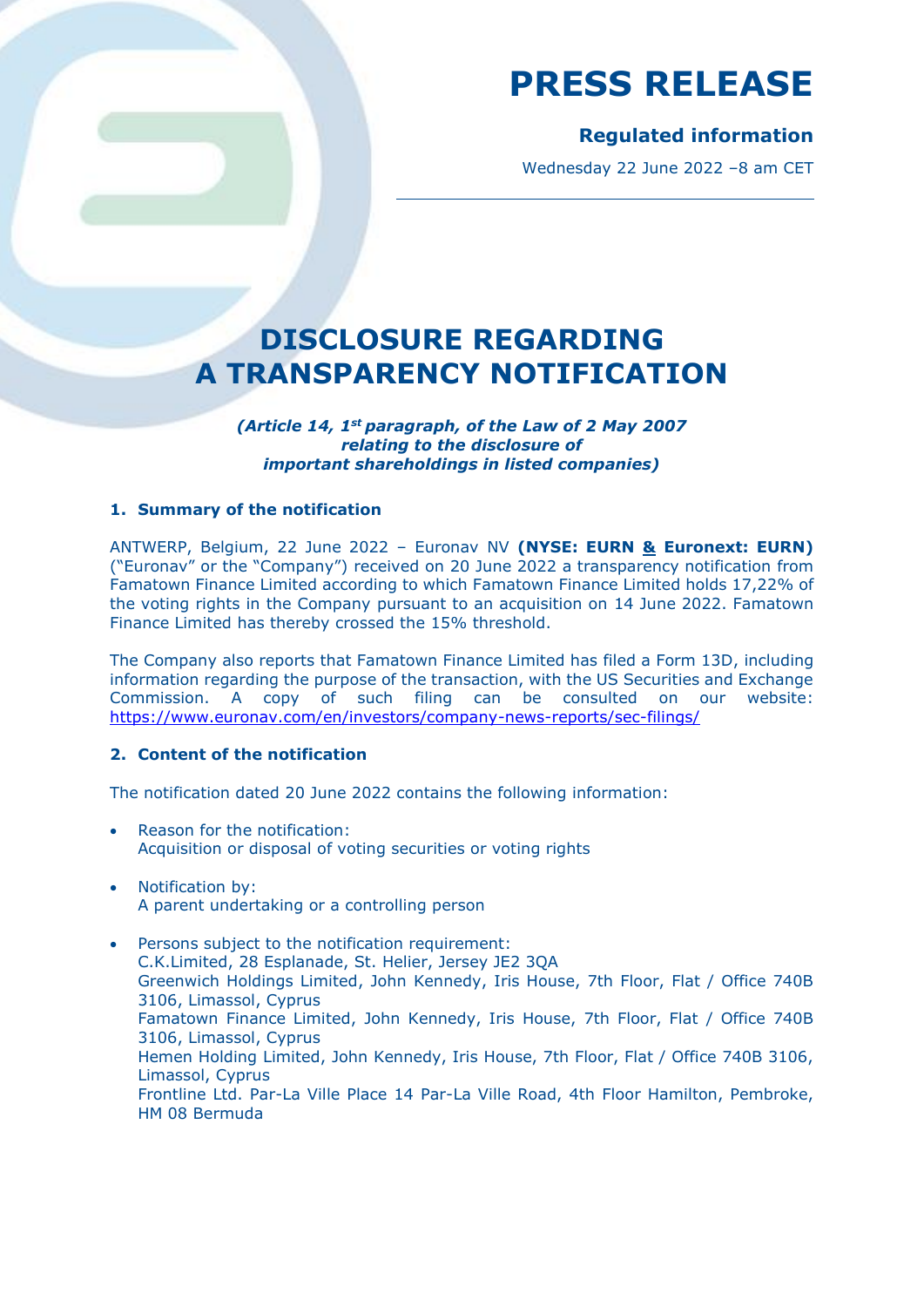## **Regulated information**

Wednesday 22 June 2022 –8 am CET

## **DISCLOSURE REGARDING A TRANSPARENCY NOTIFICATION**

*(Article 14, 1st paragraph, of the Law of 2 May 2007 relating to the disclosure of important shareholdings in listed companies)*

### **1. Summary of the notification**

ANTWERP, Belgium, 22 June 2022 – Euronav NV **(NYSE: EURN & Euronext: EURN)** ("Euronav" or the "Company") received on 20 June 2022 a transparency notification from Famatown Finance Limited according to which Famatown Finance Limited holds 17,22% of the voting rights in the Company pursuant to an acquisition on 14 June 2022. Famatown Finance Limited has thereby crossed the 15% threshold.

The Company also reports that Famatown Finance Limited has filed a Form 13D, including information regarding the purpose of the transaction, with the US Securities and Exchange Commission. A copy of such filing can be consulted on our website: <https://www.euronav.com/en/investors/company-news-reports/sec-filings/>

### **2. Content of the notification**

The notification dated 20 June 2022 contains the following information:

- Reason for the notification: Acquisition or disposal of voting securities or voting rights
- Notification by: A parent undertaking or a controlling person

• Persons subject to the notification requirement: C.K.Limited, 28 Esplanade, St. Helier, Jersey JE2 3QA Greenwich Holdings Limited, John Kennedy, Iris House, 7th Floor, Flat / Office 740B 3106, Limassol, Cyprus Famatown Finance Limited, John Kennedy, Iris House, 7th Floor, Flat / Office 740B 3106, Limassol, Cyprus Hemen Holding Limited, John Kennedy, Iris House, 7th Floor, Flat / Office 740B 3106, Limassol, Cyprus Frontline Ltd. Par-La Ville Place 14 Par-La Ville Road, 4th Floor Hamilton, Pembroke, HM 08 Bermuda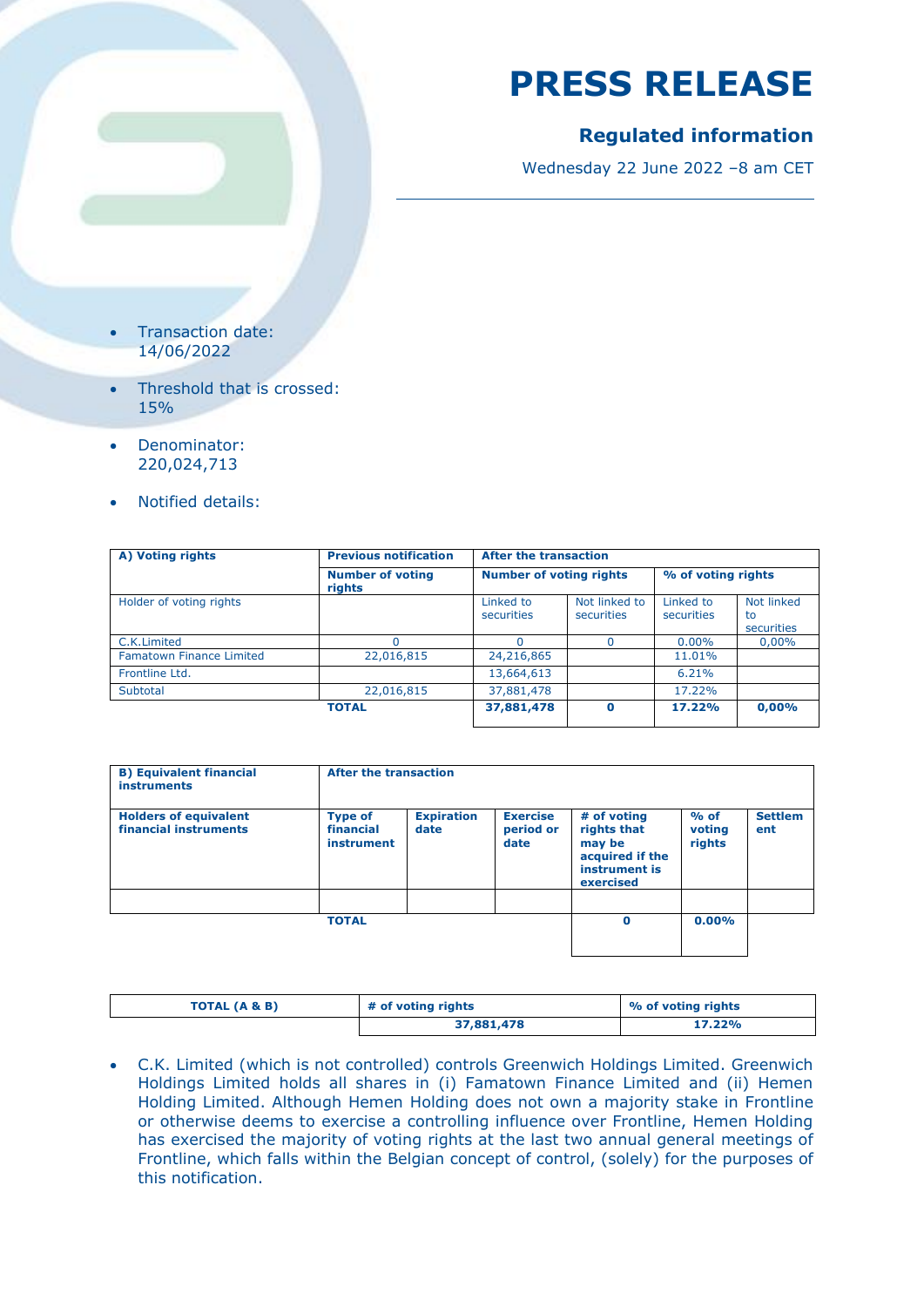## **Regulated information**

Wednesday 22 June 2022 –8 am CET

- Transaction date: 14/06/2022
- Threshold that is crossed: 15%
- Denominator: 220,024,713
- Notified details:

| A) Voting rights                | <b>Previous notification</b><br><b>Number of voting</b><br>rights | <b>After the transaction</b>   |                             |                         |                                |  |
|---------------------------------|-------------------------------------------------------------------|--------------------------------|-----------------------------|-------------------------|--------------------------------|--|
|                                 |                                                                   | <b>Number of voting rights</b> |                             | % of voting rights      |                                |  |
| Holder of voting rights         |                                                                   | Linked to<br>securities        | Not linked to<br>securities | Linked to<br>securities | Not linked<br>to<br>securities |  |
| C.K.Limited                     |                                                                   |                                | $\Omega$                    | $0.00\%$                | $0.00\%$                       |  |
| <b>Famatown Finance Limited</b> | 22,016,815                                                        | 24,216,865                     |                             | 11.01%                  |                                |  |
| Frontline Ltd.                  |                                                                   | 13,664,613                     |                             | 6.21%                   |                                |  |
| Subtotal                        | 22,016,815                                                        | 37,881,478                     |                             | 17.22%                  |                                |  |
|                                 | <b>TOTAL</b>                                                      | 37,881,478                     | $\Omega$                    | 17.22%                  | 0,00%                          |  |

| <b>B) Equivalent financial</b><br><b>instruments</b>  | After the transaction                     |                           |                                      |                                                                                       |                            |                       |
|-------------------------------------------------------|-------------------------------------------|---------------------------|--------------------------------------|---------------------------------------------------------------------------------------|----------------------------|-----------------------|
| <b>Holders of equivalent</b><br>financial instruments | <b>Type of</b><br>financial<br>instrument | <b>Expiration</b><br>date | <b>Exercise</b><br>period or<br>date | # of voting<br>rights that<br>may be<br>acquired if the<br>instrument is<br>exercised | $%$ of<br>voting<br>rights | <b>Settlem</b><br>ent |
|                                                       | <b>TOTAL</b>                              |                           |                                      | $\mathbf 0$                                                                           | $0.00\%$                   |                       |

| TOTAL (A & B) | # of voting rights | % of voting rights |  |
|---------------|--------------------|--------------------|--|
|               | 37,881,478         | 17.22%             |  |

• C.K. Limited (which is not controlled) controls Greenwich Holdings Limited. Greenwich Holdings Limited holds all shares in (i) Famatown Finance Limited and (ii) Hemen Holding Limited. Although Hemen Holding does not own a majority stake in Frontline or otherwise deems to exercise a controlling influence over Frontline, Hemen Holding has exercised the majority of voting rights at the last two annual general meetings of Frontline, which falls within the Belgian concept of control, (solely) for the purposes of this notification.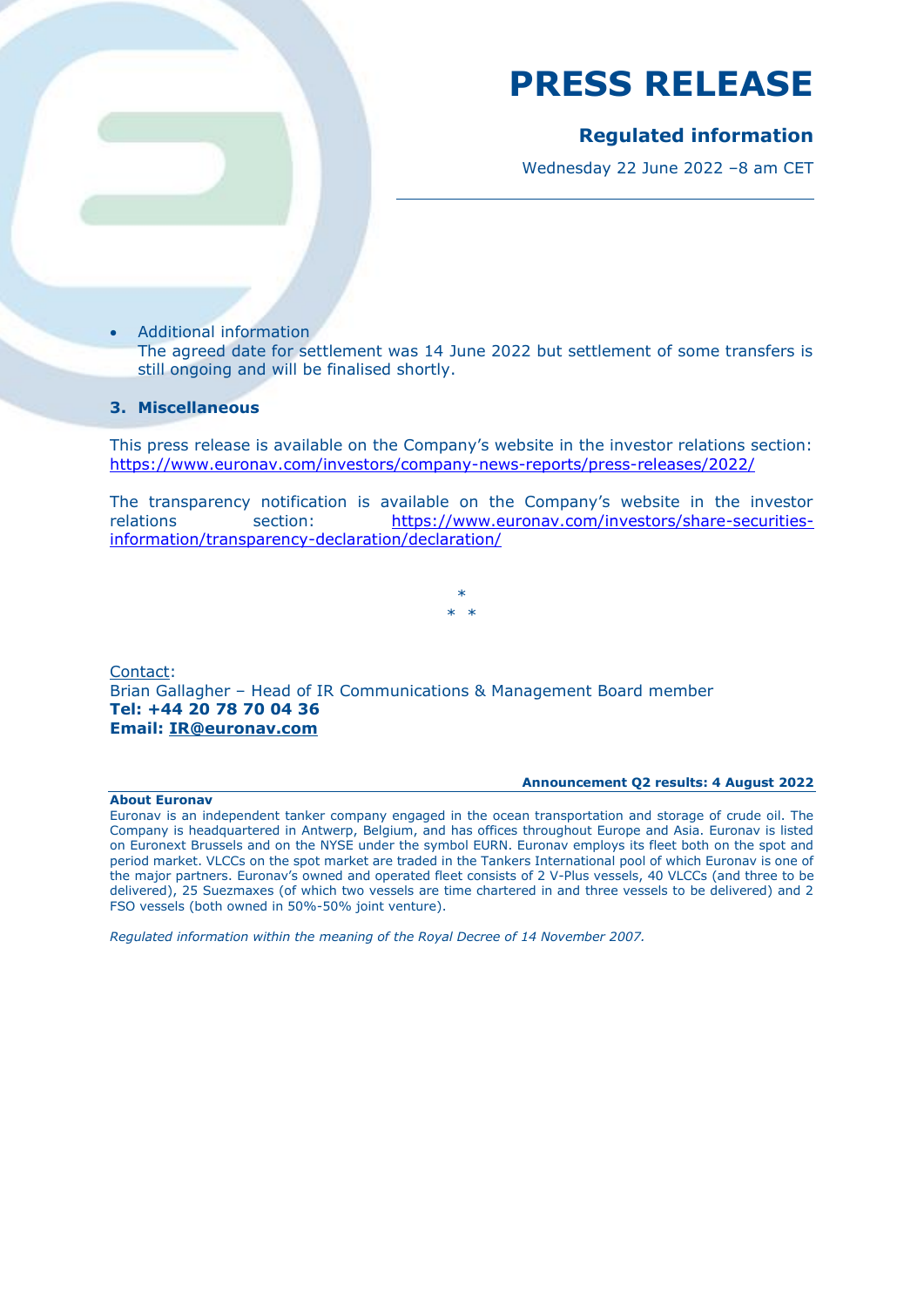### **Regulated information**

Wednesday 22 June 2022 –8 am CET

- Additional information
	- The agreed date for settlement was 14 June 2022 but settlement of some transfers is still ongoing and will be finalised shortly.

### **3. Miscellaneous**

This press release is available on the Company's website in the investor relations section: <https://www.euronav.com/investors/company-news-reports/press-releases/2022/>

The transparency notification is available on the Company's website in the investor relations section: [https://www.euronav.com/investors/share-securities](https://www.euronav.com/investors/share-securities-information/transparency-declaration/declaration/)[information/transparency-declaration/declaration/](https://www.euronav.com/investors/share-securities-information/transparency-declaration/declaration/)

> \*  $\rightarrow$

Contact: Brian Gallagher – Head of IR Communications & Management Board member **Tel: +44 20 78 70 04 36 Email: [IR@euronav.com](mailto:IR@euronav.com)**

#### **About Euronav**

#### **Announcement Q2 results: 4 August 2022**

Euronav is an independent tanker company engaged in the ocean transportation and storage of crude oil. The Company is headquartered in Antwerp, Belgium, and has offices throughout Europe and Asia. Euronav is listed on Euronext Brussels and on the NYSE under the symbol EURN. Euronav employs its fleet both on the spot and period market. VLCCs on the spot market are traded in the Tankers International pool of which Euronav is one of the major partners. Euronav's owned and operated fleet consists of 2 V-Plus vessels, 40 VLCCs (and three to be delivered), 25 Suezmaxes (of which two vessels are time chartered in and three vessels to be delivered) and 2 FSO vessels (both owned in 50%-50% joint venture).

*Regulated information within the meaning of the Royal Decree of 14 November 2007.*